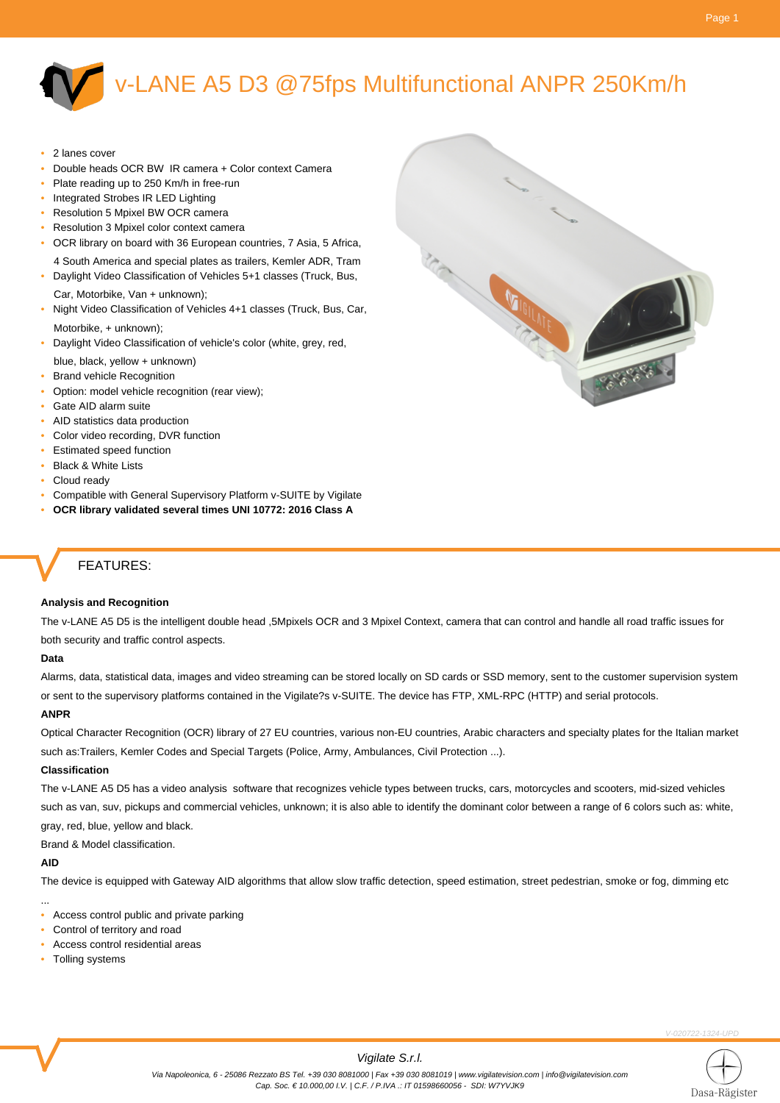## v-LANE A5 D3 @75fps Multifunctional ANPR 250Km/h

- 2 lanes cover
- Double heads OCR BW IR camera + Color context Camera
- Plate reading up to 250 Km/h in free-run
- Integrated Strobes IR LED Lighting
- Resolution 5 Mpixel BW OCR camera
- Resolution 3 Mpixel color context camera
- OCR library on board with 36 European countries, 7 Asia, 5 Africa, 4 South America and special plates as trailers, Kemler ADR, Tram

• Daylight Video Classification of Vehicles 5+1 classes (Truck, Bus,

- Car, Motorbike, Van + unknown);
- Night Video Classification of Vehicles 4+1 classes (Truck, Bus, Car, Motorbike, + unknown);
- Daylight Video Classification of vehicle's color (white, grey, red,
- blue, black, yellow + unknown)
- **Brand vehicle Recognition**
- Option: model vehicle recognition (rear view);
- Gate AID alarm suite
- AID statistics data production
- Color video recording, DVR function
- Estimated speed function
- Black & White Lists
- Cloud ready
- Compatible with General Supervisory Platform v-SUITE by Vigilate
- **OCR library validated several times UNI 10772: 2016 Class A**

## FEATURES:

#### **Analysis and Recognition**

The v-LANE A5 D5 is the intelligent double head ,5Mpixels OCR and 3 Mpixel Context, camera that can control and handle all road traffic issues for both security and traffic control aspects.

#### **Data**

Alarms, data, statistical data, images and video streaming can be stored locally on SD cards or SSD memory, sent to the customer supervision system or sent to the supervisory platforms contained in the Vigilate?s v-SUITE. The device has FTP, XML-RPC (HTTP) and serial protocols.

#### **ANPR**

Optical Character Recognition (OCR) library of 27 EU countries, various non-EU countries, Arabic characters and specialty plates for the Italian market such as:Trailers, Kemler Codes and Special Targets (Police, Army, Ambulances, Civil Protection ...).

#### **Classification**

The v-LANE A5 D5 has a video analysis software that recognizes vehicle types between trucks, cars, motorcycles and scooters, mid-sized vehicles such as van, suv, pickups and commercial vehicles, unknown; it is also able to identify the dominant color between a range of 6 colors such as: white, gray, red, blue, yellow and black.

Brand & Model classification.

#### **AID**

...

The device is equipped with Gateway AID algorithms that allow slow traffic detection, speed estimation, street pedestrian, smoke or fog, dimming etc

• Access control public and private parking

- Control of territory and road
- Access control residential areas
- Tolling systems

-020722-1324-UPD



#### Vigilate S.r.l.